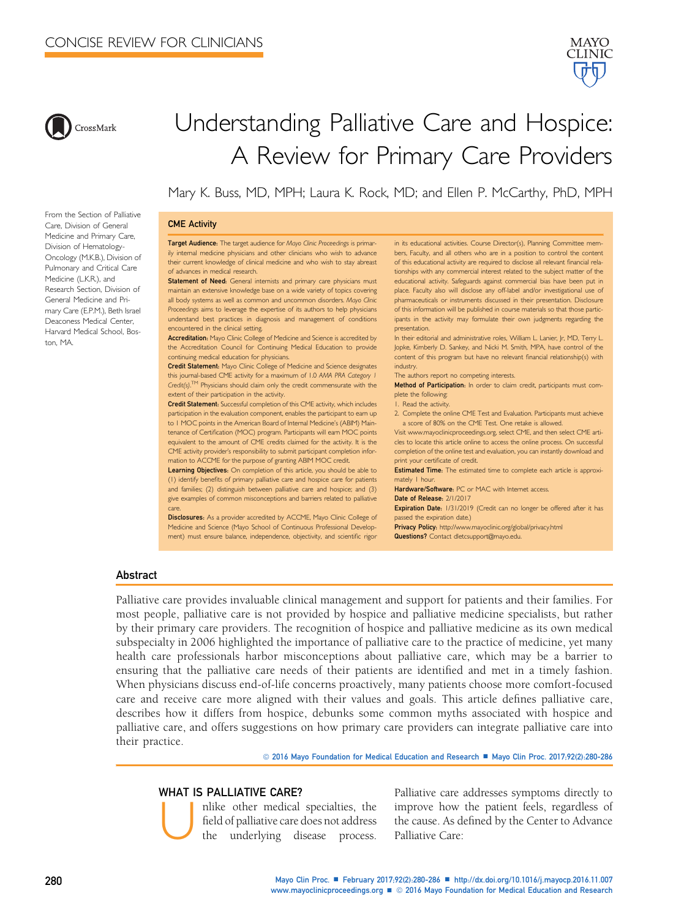

# Understanding Palliative Care and Hospice: A Review for Primary Care Providers

Mary K. Buss, MD, MPH; Laura K. Rock, MD; and Ellen P. McCarthy, PhD, MPH

#### CME Activity

From the Section of Palliative Care, Division of General Medicine and Primary Care, Division of Hematology-Oncology (M.K.B.), Division of Pulmonary and Critical Care Medicine (L.K.R.), and Research Section, Division of General Medicine and Primary Care (E.P.M.), Beth Israel Deaconess Medical Center, Harvard Medical School, Boston, MA.

Target Audience: The target audience for Mayo Clinic Proceedings is primarily internal medicine physicians and other clinicians who wish to advance their current knowledge of clinical medicine and who wish to stay abreast of advances in medical research.

Statement of Need: General internists and primary care physicians must maintain an extensive knowledge base on a wide variety of topics covering all body systems as well as common and uncommon disorders. Mayo Clinic Proceedings aims to leverage the expertise of its authors to help physicians understand best practices in diagnosis and management of conditions encountered in the clinical setting.

Accreditation: Mayo Clinic College of Medicine and Science is accredited by the Accreditation Council for Continuing Medical Education to provide continuing medical education for physicians.

Credit Statement: Mayo Clinic College of Medicine and Science designates this journal-based CME activity for a maximum of 1.0 AMA PRA Category 1 Credit(s). $\mathbb{M}^{\mathsf{M}}$  Physicians should claim only the credit commensurate with the extent of their participation in the activity.

Credit Statement: Successful completion of this CME activity, which includes participation in the evaluation component, enables the participant to earn up to 1 MOC points in the American Board of Internal Medicine's (ABIM) Maintenance of Certification (MOC) program. Participants will earn MOC points equivalent to the amount of CME credits claimed for the activity. It is the CME activity provider's responsibility to submit participant completion information to ACCME for the purpose of granting ABIM MOC credit.

Learning Objectives: On completion of this article, you should be able to (1) identify benefits of primary palliative care and hospice care for patients and families; (2) distinguish between palliative care and hospice; and (3) give examples of common misconceptions and barriers related to palliative care.

Disclosures: As a provider accredited by ACCME, Mayo Clinic College of Medicine and Science (Mayo School of Continuous Professional Development) must ensure balance, independence, objectivity, and scientific rigor

in its educational activities. Course Director(s), Planning Committee members, Faculty, and all others who are in a position to control the content of this educational activity are required to disclose all relevant financial relationships with any commercial interest related to the subject matter of the educational activity. Safeguards against commercial bias have been put in place. Faculty also will disclose any off-label and/or investigational use of pharmaceuticals or instruments discussed in their presentation. Disclosure of this information will be published in course materials so that those participants in the activity may formulate their own judgments regarding the presentation.

MAYO **CLINIC** 

In their editorial and administrative roles, William L. Lanier, Jr, MD, Terry L. Jopke, Kimberly D. Sankey, and Nicki M. Smith, MPA, have control of the content of this program but have no relevant financial relationship(s) with industry.

The authors report no competing interests.

Method of Participation: In order to claim credit, participants must complete the following:

1. Read the activity.

2. Complete the online CME Test and Evaluation. Participants must achieve a score of 80% on the CME Test. One retake is allowed.

Visit [www.mayoclinicproceedings.org,](http://www.mayoclinicproceedings.org) select CME, and then select CME articles to locate this article online to access the online process. On successful completion of the online test and evaluation, you can instantly download and print your certificate of credit.

Estimated Time: The estimated time to complete each article is approximately 1 hour.

Hardware/Software: PC or MAC with Internet access.

Date of Release: 2/1/2017

Expiration Date: 1/31/2019 (Credit can no longer be offered after it has passed the expiration date.)

Privacy Policy: <http://www.mayoclinic.org/global/privacy.html> Questions? Contact [dletcsupport@mayo.edu.](mailto:dletcsupport@mayo.edu)

#### Abstract

Palliative care provides invaluable clinical management and support for patients and their families. For most people, palliative care is not provided by hospice and palliative medicine specialists, but rather by their primary care providers. The recognition of hospice and palliative medicine as its own medical subspecialty in 2006 highlighted the importance of palliative care to the practice of medicine, yet many health care professionals harbor misconceptions about palliative care, which may be a barrier to ensuring that the palliative care needs of their patients are identified and met in a timely fashion. When physicians discuss end-of-life concerns proactively, many patients choose more comfort-focused care and receive care more aligned with their values and goals. This article defines palliative care, describes how it differs from hospice, debunks some common myths associated with hospice and palliative care, and offers suggestions on how primary care providers can integrate palliative care into their practice.

ª 2016 Mayo Foundation for Medical Education and Research n Mayo Clin Proc. 2017;92(2):280-286

#### WHAT IS PALLIATIVE CARE?

nike other medical specialties, the field of palliative care does not address the underlying disease process. field of palliative care does not address the underlying disease process.

Palliative care addresses symptoms directly to improve how the patient feels, regardless of the cause. As defined by the Center to Advance Palliative Care: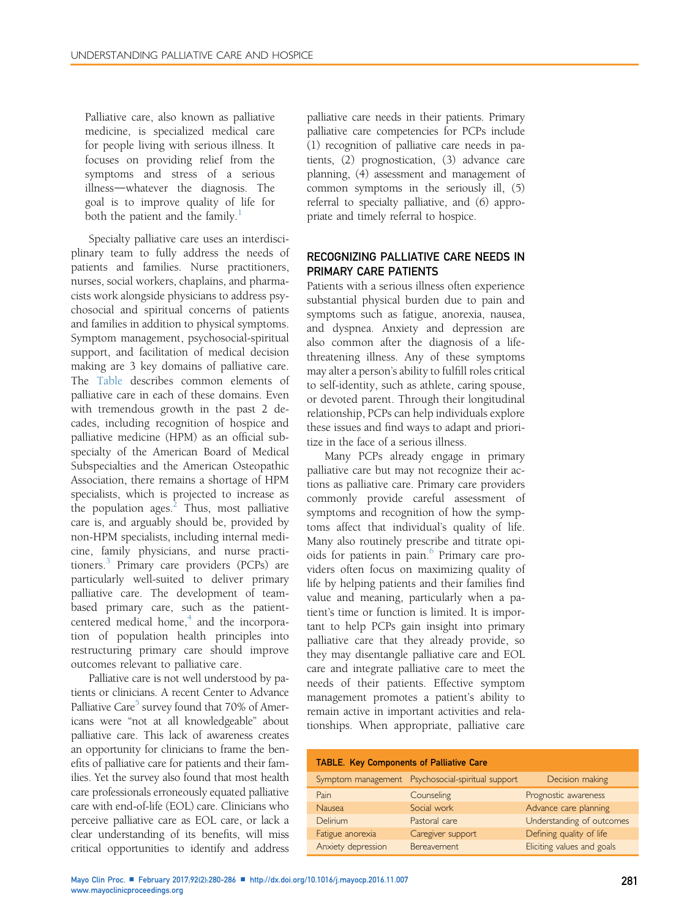Palliative care, also known as palliative medicine, is specialized medical care for people living with serious illness. It focuses on providing relief from the symptoms and stress of a serious illness—whatever the diagnosis. The goal is to improve quality of life for both the patient and the family. $\pm$ 

Specialty palliative care uses an interdisciplinary team to fully address the needs of patients and families. Nurse practitioners, nurses, social workers, chaplains, and pharmacists work alongside physicians to address psychosocial and spiritual concerns of patients and families in addition to physical symptoms. Symptom management, psychosocial-spiritual support, and facilitation of medical decision making are 3 key domains of palliative care. The Table describes common elements of palliative care in each of these domains. Even with tremendous growth in the past 2 decades, including recognition of hospice and palliative medicine (HPM) as an official subspecialty of the American Board of Medical Subspecialties and the American Osteopathic Association, there remains a shortage of HPM specialists, which is projected to increase as the population ages. $2$  Thus, most palliative care is, and arguably should be, provided by non-HPM specialists, including internal medicine, family physicians, and nurse practitioners.<sup>3</sup> Primary care providers (PCPs) are particularly well-suited to deliver primary palliative care. The development of teambased primary care, such as the patientcentered medical home, $<sup>4</sup>$  and the incorpora-</sup> tion of population health principles into restructuring primary care should improve outcomes relevant to palliative care.

Palliative care is not well understood by patients or clinicians. A recent Center to Advance Palliative Care<sup>5</sup> survey found that 70% of Americans were "not at all knowledgeable" about palliative care. This lack of awareness creates an opportunity for clinicians to frame the benefits of palliative care for patients and their families. Yet the survey also found that most health care professionals erroneously equated palliative care with end-of-life (EOL) care. Clinicians who perceive palliative care as EOL care, or lack a clear understanding of its benefits, will miss critical opportunities to identify and address

palliative care needs in their patients. Primary palliative care competencies for PCPs include (1) recognition of palliative care needs in patients, (2) prognostication, (3) advance care planning, (4) assessment and management of common symptoms in the seriously ill, (5) referral to specialty palliative, and (6) appropriate and timely referral to hospice.

## RECOGNIZING PALLIATIVE CARE NEEDS IN PRIMARY CARE PATIENTS

Patients with a serious illness often experience substantial physical burden due to pain and symptoms such as fatigue, anorexia, nausea, and dyspnea. Anxiety and depression are also common after the diagnosis of a lifethreatening illness. Any of these symptoms may alter a person's ability to fulfill roles critical to self-identity, such as athlete, caring spouse, or devoted parent. Through their longitudinal relationship, PCPs can help individuals explore these issues and find ways to adapt and prioritize in the face of a serious illness.

Many PCPs already engage in primary palliative care but may not recognize their actions as palliative care. Primary care providers commonly provide careful assessment of symptoms and recognition of how the symptoms affect that individual's quality of life. Many also routinely prescribe and titrate opioids for patients in pain.<sup>6</sup> Primary care providers often focus on maximizing quality of life by helping patients and their families find value and meaning, particularly when a patient's time or function is limited. It is important to help PCPs gain insight into primary palliative care that they already provide, so they may disentangle palliative care and EOL care and integrate palliative care to meet the needs of their patients. Effective symptom management promotes a patient's ability to remain active in important activities and relationships. When appropriate, palliative care

| <b>TABLE.</b> Key Components of Palliative Care |                                                   |                            |
|-------------------------------------------------|---------------------------------------------------|----------------------------|
|                                                 | Symptom management Psychosocial-spiritual support | Decision making            |
| Pain                                            | Counseling                                        | Prognostic awareness       |
| <b>Nausea</b>                                   | Social work                                       | Advance care planning      |
| Delirium                                        | Pastoral care                                     | Understanding of outcomes  |
| Fatigue anorexia                                | Caregiver support                                 | Defining quality of life   |
| Anxiety depression                              | Bereavement                                       | Eliciting values and goals |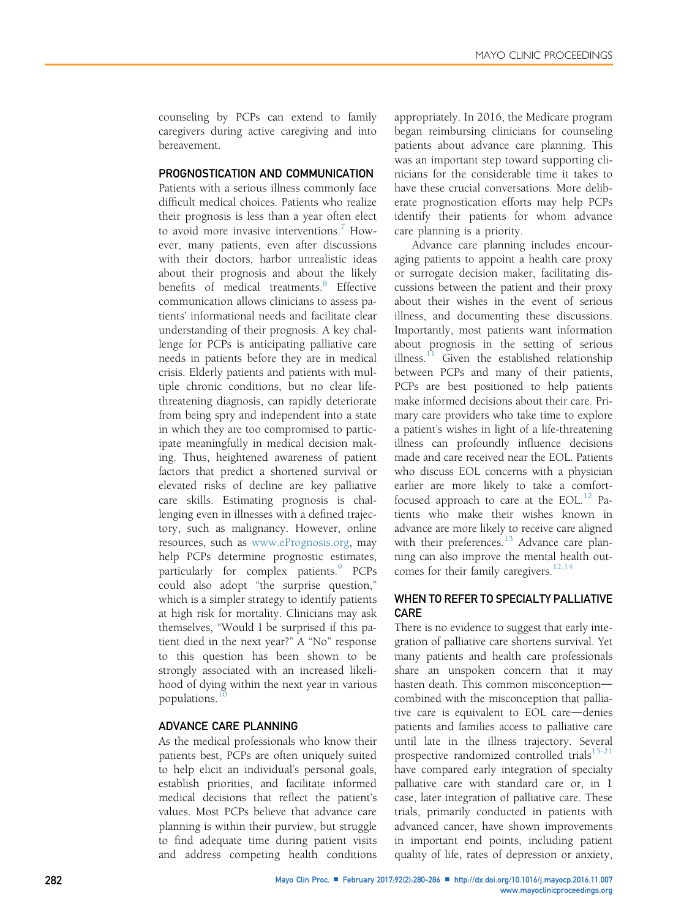counseling by PCPs can extend to family caregivers during active caregiving and into bereavement.

## PROGNOSTICATION AND COMMUNICATION

Patients with a serious illness commonly face difficult medical choices. Patients who realize their prognosis is less than a year often elect to avoid more invasive interventions.<sup>7</sup> However, many patients, even after discussions with their doctors, harbor unrealistic ideas about their prognosis and about the likely benefits of medical treatments.<sup>8</sup> Effective communication allows clinicians to assess patients' informational needs and facilitate clear understanding of their prognosis. A key challenge for PCPs is anticipating palliative care needs in patients before they are in medical crisis. Elderly patients and patients with multiple chronic conditions, but no clear lifethreatening diagnosis, can rapidly deteriorate from being spry and independent into a state in which they are too compromised to participate meaningfully in medical decision making. Thus, heightened awareness of patient factors that predict a shortened survival or elevated risks of decline are key palliative care skills. Estimating prognosis is challenging even in illnesses with a defined trajectory, such as malignancy. However, online resources, such as [www.ePrognosis.org](http://www.ePrognosis.org), may help PCPs determine prognostic estimates, particularly for complex patients.<sup>9</sup> PCPs could also adopt "the surprise question," which is a simpler strategy to identify patients at high risk for mortality. Clinicians may ask themselves, "Would I be surprised if this patient died in the next year?" A "No" response to this question has been shown to be strongly associated with an increased likelihood of dying within the next year in various populations.

## ADVANCE CARE PLANNING

As the medical professionals who know their patients best, PCPs are often uniquely suited to help elicit an individual's personal goals, establish priorities, and facilitate informed medical decisions that reflect the patient's values. Most PCPs believe that advance care planning is within their purview, but struggle to find adequate time during patient visits and address competing health conditions appropriately. In 2016, the Medicare program began reimbursing clinicians for counseling patients about advance care planning. This was an important step toward supporting clinicians for the considerable time it takes to have these crucial conversations. More deliberate prognostication efforts may help PCPs identify their patients for whom advance care planning is a priority.

Advance care planning includes encouraging patients to appoint a health care proxy or surrogate decision maker, facilitating discussions between the patient and their proxy about their wishes in the event of serious illness, and documenting these discussions. Importantly, most patients want information about prognosis in the setting of serious illness. $\frac{11}{11}$  Given the established relationship between PCPs and many of their patients, PCPs are best positioned to help patients make informed decisions about their care. Primary care providers who take time to explore a patient's wishes in light of a life-threatening illness can profoundly influence decisions made and care received near the EOL. Patients who discuss EOL concerns with a physician earlier are more likely to take a comfortfocused approach to care at the  $EOL$ <sup>12</sup> Patients who make their wishes known in advance are more likely to receive care aligned with their preferences. $13$  Advance care planning can also improve the mental health outcomes for their family caregivers.<sup>12,14</sup>

## WHEN TO REFER TO SPECIALTY PALLIATIVE CARE

There is no evidence to suggest that early integration of palliative care shortens survival. Yet many patients and health care professionals share an unspoken concern that it may hasten death. This common misconception $$ combined with the misconception that palliative care is equivalent to EOL care-denies patients and families access to palliative care until late in the illness trajectory. Several prospective randomized controlled trials<sup>15-21</sup> have compared early integration of specialty palliative care with standard care or, in 1 case, later integration of palliative care. These trials, primarily conducted in patients with advanced cancer, have shown improvements in important end points, including patient quality of life, rates of depression or anxiety,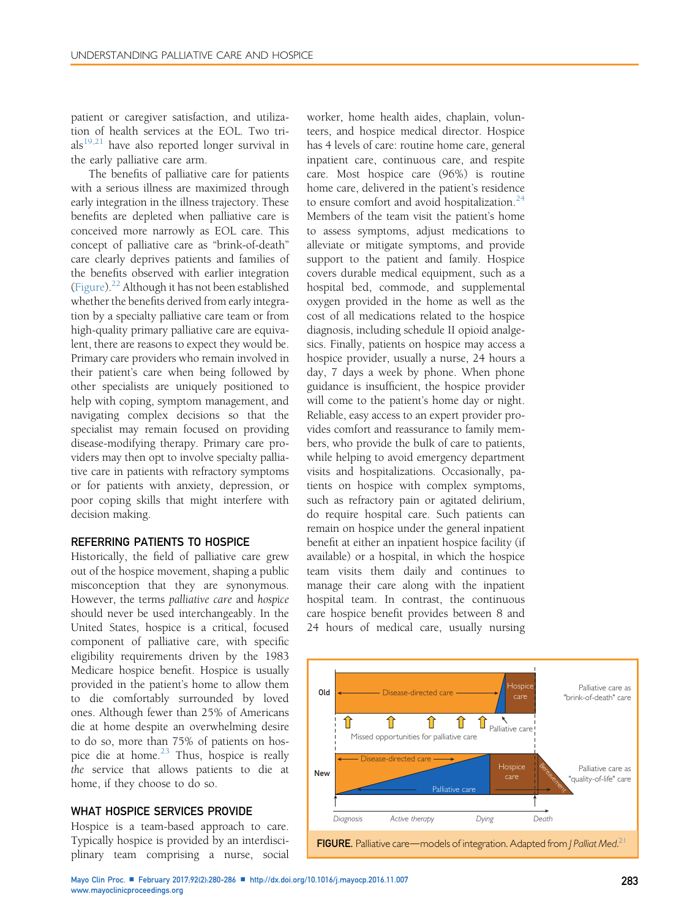patient or caregiver satisfaction, and utilization of health services at the EOL. Two tri $als<sup>19,21</sup>$  have also reported longer survival in the early palliative care arm.

The benefits of palliative care for patients with a serious illness are maximized through early integration in the illness trajectory. These benefits are depleted when palliative care is conceived more narrowly as EOL care. This concept of palliative care as "brink-of-death" care clearly deprives patients and families of the benefits observed with earlier integration (Figure).<sup>22</sup> Although it has not been established whether the benefits derived from early integration by a specialty palliative care team or from high-quality primary palliative care are equivalent, there are reasons to expect they would be. Primary care providers who remain involved in their patient's care when being followed by other specialists are uniquely positioned to help with coping, symptom management, and navigating complex decisions so that the specialist may remain focused on providing disease-modifying therapy. Primary care providers may then opt to involve specialty palliative care in patients with refractory symptoms or for patients with anxiety, depression, or poor coping skills that might interfere with decision making.

### REFERRING PATIENTS TO HOSPICE

Historically, the field of palliative care grew out of the hospice movement, shaping a public misconception that they are synonymous. However, the terms palliative care and hospice should never be used interchangeably. In the United States, hospice is a critical, focused component of palliative care, with specific eligibility requirements driven by the 1983 Medicare hospice benefit. Hospice is usually provided in the patient's home to allow them to die comfortably surrounded by loved ones. Although fewer than 25% of Americans die at home despite an overwhelming desire to do so, more than 75% of patients on hospice die at home.<sup>23</sup> Thus, hospice is really the service that allows patients to die at home, if they choose to do so.

## WHAT HOSPICE SERVICES PROVIDE

Hospice is a team-based approach to care. Typically hospice is provided by an interdisciplinary team comprising a nurse, social worker, home health aides, chaplain, volunteers, and hospice medical director. Hospice has 4 levels of care: routine home care, general inpatient care, continuous care, and respite care. Most hospice care (96%) is routine home care, delivered in the patient's residence to ensure comfort and avoid hospitalization. $24$ Members of the team visit the patient's home to assess symptoms, adjust medications to alleviate or mitigate symptoms, and provide support to the patient and family. Hospice covers durable medical equipment, such as a hospital bed, commode, and supplemental oxygen provided in the home as well as the cost of all medications related to the hospice diagnosis, including schedule II opioid analgesics. Finally, patients on hospice may access a hospice provider, usually a nurse, 24 hours a day, 7 days a week by phone. When phone guidance is insufficient, the hospice provider will come to the patient's home day or night. Reliable, easy access to an expert provider provides comfort and reassurance to family members, who provide the bulk of care to patients, while helping to avoid emergency department visits and hospitalizations. Occasionally, patients on hospice with complex symptoms, such as refractory pain or agitated delirium, do require hospital care. Such patients can remain on hospice under the general inpatient benefit at either an inpatient hospice facility (if available) or a hospital, in which the hospice team visits them daily and continues to manage their care along with the inpatient hospital team. In contrast, the continuous care hospice benefit provides between 8 and 24 hours of medical care, usually nursing

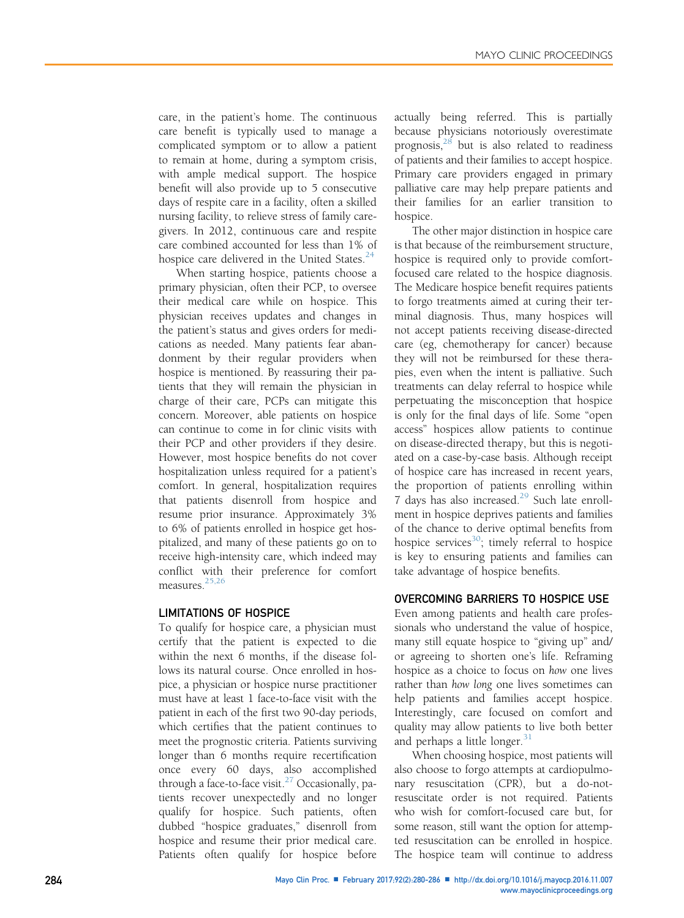care, in the patient's home. The continuous care benefit is typically used to manage a complicated symptom or to allow a patient to remain at home, during a symptom crisis, with ample medical support. The hospice benefit will also provide up to 5 consecutive days of respite care in a facility, often a skilled nursing facility, to relieve stress of family caregivers. In 2012, continuous care and respite care combined accounted for less than 1% of hospice care delivered in the United States. $24$ 

When starting hospice, patients choose a primary physician, often their PCP, to oversee their medical care while on hospice. This physician receives updates and changes in the patient's status and gives orders for medications as needed. Many patients fear abandonment by their regular providers when hospice is mentioned. By reassuring their patients that they will remain the physician in charge of their care, PCPs can mitigate this concern. Moreover, able patients on hospice can continue to come in for clinic visits with their PCP and other providers if they desire. However, most hospice benefits do not cover hospitalization unless required for a patient's comfort. In general, hospitalization requires that patients disenroll from hospice and resume prior insurance. Approximately 3% to 6% of patients enrolled in hospice get hospitalized, and many of these patients go on to receive high-intensity care, which indeed may conflict with their preference for comfort measures.<sup>25,26</sup>

## LIMITATIONS OF HOSPICE

To qualify for hospice care, a physician must certify that the patient is expected to die within the next 6 months, if the disease follows its natural course. Once enrolled in hospice, a physician or hospice nurse practitioner must have at least 1 face-to-face visit with the patient in each of the first two 90-day periods, which certifies that the patient continues to meet the prognostic criteria. Patients surviving longer than 6 months require recertification once every 60 days, also accomplished through a face-to-face visit.<sup>27</sup> Occasionally, patients recover unexpectedly and no longer qualify for hospice. Such patients, often dubbed "hospice graduates," disenroll from hospice and resume their prior medical care. Patients often qualify for hospice before

actually being referred. This is partially because physicians notoriously overestimate prognosis, $28$  but is also related to readiness of patients and their families to accept hospice. Primary care providers engaged in primary palliative care may help prepare patients and their families for an earlier transition to hospice.

The other major distinction in hospice care is that because of the reimbursement structure, hospice is required only to provide comfortfocused care related to the hospice diagnosis. The Medicare hospice benefit requires patients to forgo treatments aimed at curing their terminal diagnosis. Thus, many hospices will not accept patients receiving disease-directed care (eg, chemotherapy for cancer) because they will not be reimbursed for these therapies, even when the intent is palliative. Such treatments can delay referral to hospice while perpetuating the misconception that hospice is only for the final days of life. Some "open access" hospices allow patients to continue on disease-directed therapy, but this is negotiated on a case-by-case basis. Although receipt of hospice care has increased in recent years, the proportion of patients enrolling within 7 days has also increased.<sup>29</sup> Such late enrollment in hospice deprives patients and families of the chance to derive optimal benefits from hospice services $30$ ; timely referral to hospice is key to ensuring patients and families can take advantage of hospice benefits.

#### OVERCOMING BARRIERS TO HOSPICE USE

Even among patients and health care professionals who understand the value of hospice, many still equate hospice to "giving up" and/ or agreeing to shorten one's life. Reframing hospice as a choice to focus on how one lives rather than how long one lives sometimes can help patients and families accept hospice. Interestingly, care focused on comfort and quality may allow patients to live both better and perhaps a little longer. $31$ 

When choosing hospice, most patients will also choose to forgo attempts at cardiopulmonary resuscitation (CPR), but a do-notresuscitate order is not required. Patients who wish for comfort-focused care but, for some reason, still want the option for attempted resuscitation can be enrolled in hospice. The hospice team will continue to address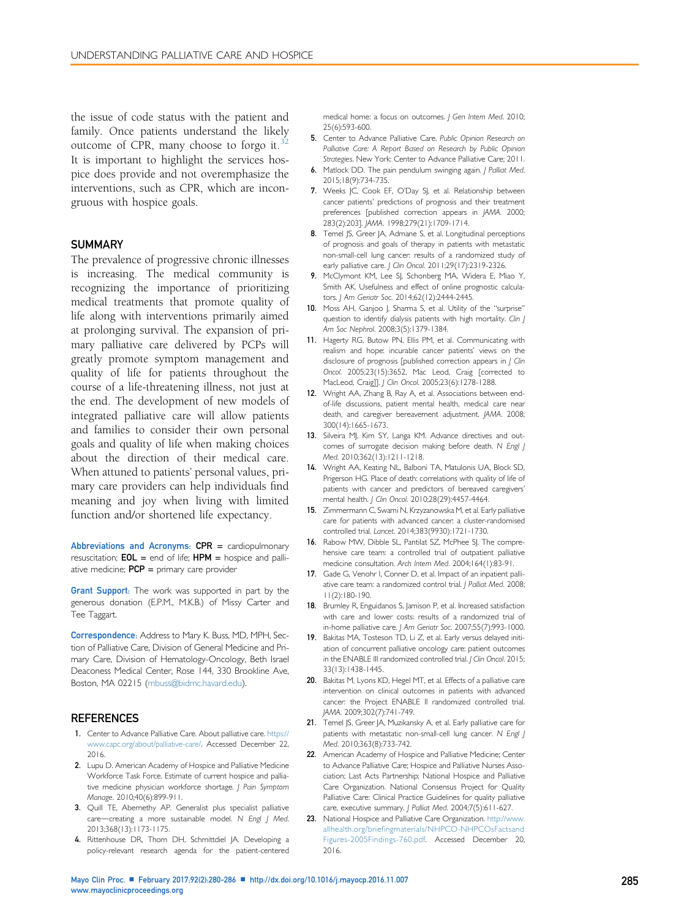the issue of code status with the patient and family. Once patients understand the likely outcome of CPR, many choose to forgo it.<sup>3</sup> It is important to highlight the services hospice does provide and not overemphasize the interventions, such as CPR, which are incongruous with hospice goals.

#### **SUMMARY**

The prevalence of progressive chronic illnesses is increasing. The medical community is recognizing the importance of prioritizing medical treatments that promote quality of life along with interventions primarily aimed at prolonging survival. The expansion of primary palliative care delivered by PCPs will greatly promote symptom management and quality of life for patients throughout the course of a life-threatening illness, not just at the end. The development of new models of integrated palliative care will allow patients and families to consider their own personal goals and quality of life when making choices about the direction of their medical care. When attuned to patients' personal values, primary care providers can help individuals find meaning and joy when living with limited function and/or shortened life expectancy.

Abbreviations and Acronyms: CPR = cardiopulmonary resuscitation;  $EOL = end$  of life;  $HPM =$  hospice and palliative medicine;  $PCP =$  primary care provider

Grant Support: The work was supported in part by the generous donation (E.P.M., M.K.B.) of Missy Carter and Tee Taggart.

Correspondence: Address to Mary K. Buss, MD, MPH, Section of Palliative Care, Division of General Medicine and Primary Care, Division of Hematology-Oncology, Beth Israel Deaconess Medical Center, Rose 144, 330 Brookline Ave, Boston, MA 02215 ([mbuss@bidmc.havard.edu\)](mailto:mbuss@bidmc.havard.edu).

#### **REFERENCES**

- 1. Center to Advance Palliative Care. About palliative care. [https://](https://www.capc.org/about/palliative-care/) [www.capc.org/about/palliative-care/](https://www.capc.org/about/palliative-care/). Accessed December 22, 2016.
- 2. Lupu D. American Academy of Hospice and Palliative Medicine Workforce Task Force. Estimate of current hospice and palliative medicine physician workforce shortage. J Pain Symptom Manage. 2010;40(6):899-911.
- 3. Quill TE, Abernethy AP. Generalist plus specialist palliative care-creating a more sustainable model. N Engl J Med. 2013;368(13):1173-1175.
- 4. Rittenhouse DR, Thom DH, Schmittdiel JA. Developing a policy-relevant research agenda for the patient-centered

medical home: a focus on outcomes. J Gen Intern Med. 2010; 25(6):593-600.

- 5. Center to Advance Palliative Care. Public Opinion Research on Palliative Care: A Report Based on Research by Public Opinion Strategies. New York: Center to Advance Palliative Care; 2011.
- 6. Matlock DD. The pain pendulum swinging again. J Palliat Med. 2015;18(9):734-735.
- 7. Weeks JC, Cook EF, O'Day SJ, et al. Relationship between cancer patients' predictions of prognosis and their treatment preferences [published correction appears in JAMA. 2000; 283(2):203]. JAMA. 1998;279(21):1709-1714.
- 8. Temel JS, Greer JA, Admane S, et al. Longitudinal perceptions of prognosis and goals of therapy in patients with metastatic non-small-cell lung cancer: results of a randomized study of early palliative care. J Clin Oncol. 2011;29(17):2319-2326.
- 9. McClymont KM, Lee SJ, Schonberg MA, Widera E, Miao Y, Smith AK. Usefulness and effect of online prognostic calculators. J Am Geriatr Soc. 2014;62(12):2444-2445.
- 10. Moss AH, Ganjoo J, Sharma S, et al. Utility of the "surprise" question to identify dialysis patients with high mortality. Clin | Am Soc Nephrol. 2008;3(5):1379-1384.
- 11. Hagerty RG, Butow PN, Ellis PM, et al. Communicating with realism and hope: incurable cancer patients' views on the disclosure of prognosis [published correction appears in J Clin Oncol. 2005;23(15):3652. Mac Leod, Craig [corrected to MacLeod, Craig]]. J Clin Oncol. 2005;23(6):1278-1288.
- 12. Wright AA, Zhang B, Ray A, et al. Associations between endof-life discussions, patient mental health, medical care near death, and caregiver bereavement adjustment. JAMA. 2008; 300(14):1665-1673.
- 13. Silveira MJ, Kim SY, Langa KM. Advance directives and outcomes of surrogate decision making before death. N Engl J Med. 2010;362(13):1211-1218.
- 14. Wright AA, Keating NL, Balboni TA, Matulonis UA, Block SD, Prigerson HG. Place of death: correlations with quality of life of patients with cancer and predictors of bereaved caregivers' mental health. J Clin Oncol. 2010;28(29):4457-4464.
- 15. Zimmermann C, Swami N, Krzyzanowska M, et al. Early palliative care for patients with advanced cancer: a cluster-randomised controlled trial. Lancet. 2014;383(9930):1721-1730.
- 16. Rabow MW, Dibble SL, Pantilat SZ, McPhee SJ. The comprehensive care team: a controlled trial of outpatient palliative medicine consultation. Arch Intern Med. 2004;164(1):83-91.
- 17. Gade G, Venohr I, Conner D, et al. Impact of an inpatient palliative care team: a randomized control trial. J Palliat Med. 2008; 11(2):180-190.
- 18. Brumley R, Enguidanos S, Jamison P, et al. Increased satisfaction with care and lower costs: results of a randomized trial of in-home palliative care. J Am Geriatr Soc. 2007;55(7):993-1000.
- 19. Bakitas MA, Tosteson TD, Li Z, et al. Early versus delayed initiation of concurrent palliative oncology care: patient outcomes in the ENABLE III randomized controlled trial. J Clin Oncol. 2015; 33(13):1438-1445.
- 20. Bakitas M, Lyons KD, Hegel MT, et al. Effects of a palliative care intervention on clinical outcomes in patients with advanced cancer: the Project ENABLE II randomized controlled trial. JAMA. 2009;302(7):741-749.
- 21. Temel JS, Greer JA, Muzikansky A, et al. Early palliative care for patients with metastatic non-small-cell lung cancer. N Engl J Med. 2010;363(8):733-742.
- 22. American Academy of Hospice and Palliative Medicine; Center to Advance Palliative Care; Hospice and Palliative Nurses Association; Last Acts Partnership; National Hospice and Palliative Care Organization. National Consensus Project for Quality Palliative Care: Clinical Practice Guidelines for quality palliative care, executive summary. J Palliat Med. 2004;7(5):611-627.
- 23. National Hospice and Palliative Care Organization. [http://www.](http://www.allhealth.org/briefingmaterials/NHPCO-NHPCOsFactsandFigures-2005Findings-760.pdf) allhealth.org/briefi[ngmaterials/NHPCO-NHPCOsFactsand](http://www.allhealth.org/briefingmaterials/NHPCO-NHPCOsFactsandFigures-2005Findings-760.pdf) [Figures-2005Findings-760.pdf](http://www.allhealth.org/briefingmaterials/NHPCO-NHPCOsFactsandFigures-2005Findings-760.pdf). Accessed December 20, 2016.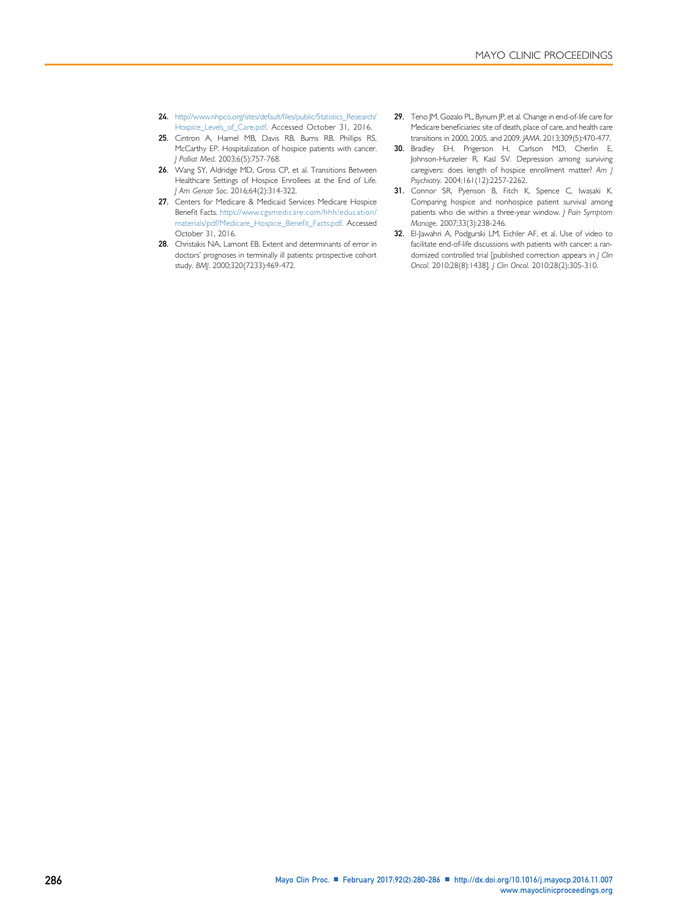- 24. [http://www.nhpco.org/sites/default/](http://www.nhpco.org/sites/default/files/public/Statistics_Research/Hospice_Levels_of_Care.pdf)files/public/Statistics\_Research/ Hospice Levels of Care.pdf. Accessed October 31, 2016.
- 25. Cintron A, Hamel MB, Davis RB, Burns RB, Phillips RS, McCarthy EP. Hospitalization of hospice patients with cancer. J Palliat Med. 2003;6(5):757-768.
- 26. Wang SY, Aldridge MD, Gross CP, et al. Transitions Between Healthcare Settings of Hospice Enrollees at the End of Life. J Am Geriatr Soc. 2016;64(2):314-322.
- 27. Centers for Medicare & Medicaid Services Medicare Hospice Benefit Facts. [https://www.cgsmedicare.com/hhh/education/](https://www.cgsmedicare.com/hhh/education/materials/pdf/Medicare_Hospice_Benefit_Facts.pdf) [materials/pdf/Medicare\\_Hospice\\_Bene](https://www.cgsmedicare.com/hhh/education/materials/pdf/Medicare_Hospice_Benefit_Facts.pdf)fit\_Facts.pdf. Accessed October 31, 2016.
- 28. Christakis NA, Lamont EB. Extent and determinants of error in doctors' prognoses in terminally ill patients: prospective cohort study. BMJ. 2000;320(7233):469-472.
- 29. Teno JM, Gozalo PL, Bynum JP, et al. Change in end-of-life care for Medicare beneficiaries: site of death, place of care, and health care transitions in 2000, 2005, and 2009. JAMA. 2013;309(5):470-477.
- 30. Bradley EH, Prigerson H, Carlson MD, Cherlin E, Johnson-Hurzeler R, Kasl SV. Depression among surviving caregivers: does length of hospice enrollment matter? Am J Psychiatry. 2004;161(12):2257-2262.
- 31. Connor SR, Pyenson B, Fitch K, Spence C, Iwasaki K. Comparing hospice and nonhospice patient survival among patients who die within a three-year window. J Pain Symptom Manage. 2007;33(3):238-246.
- 32. El-Jawahri A, Podgurski LM, Eichler AF, et al. Use of video to facilitate end-of-life discussions with patients with cancer: a randomized controlled trial [published correction appears in J Clin Oncol. 2010;28(8):1438]. J Clin Oncol. 2010;28(2):305-310.